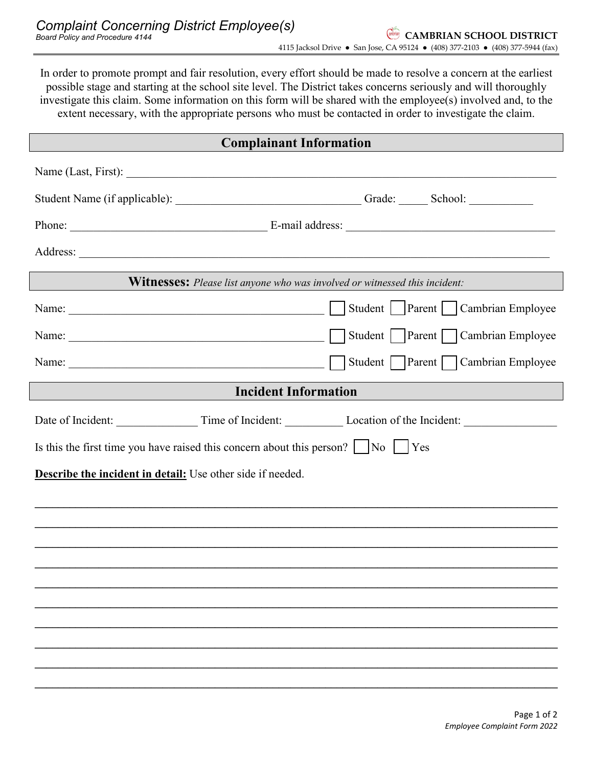In order to promote prompt and fair resolution, every effort should be made to resolve a concern at the earliest possible stage and starting at the school site level. The District takes concerns seriously and will thoroughly investigate this claim. Some information on this form will be shared with the employee(s) involved and, to the extent necessary, with the appropriate persons who must be contacted in order to investigate the claim. **Complainant Information** Name (Last, First): Student Name (if applicable): \_\_\_\_\_\_\_\_\_\_\_\_\_\_\_\_\_\_\_\_\_\_\_\_\_\_\_\_\_\_\_\_ Grade: \_\_\_\_\_ School: \_\_\_\_\_\_\_\_\_\_\_ Phone: \_\_\_\_\_\_\_\_\_\_\_\_\_\_\_\_\_\_\_\_\_\_\_\_\_\_\_\_\_\_\_\_\_\_ E-mail address: \_\_\_\_\_\_\_\_\_\_\_\_\_\_\_\_\_\_\_\_\_\_\_\_\_\_\_\_\_\_\_\_\_\_\_\_ Address: **Witnesses:** *Please list anyone who was involved or witnessed this incident:* Name: \_\_\_\_\_\_\_\_\_\_\_\_\_\_\_\_\_\_\_\_\_\_\_\_\_\_\_\_\_\_\_\_\_\_\_\_\_\_\_\_\_\_\_\_ Student Parent Cambrian Employee Name: \_\_\_\_\_\_\_\_\_\_\_\_\_\_\_\_\_\_\_\_\_\_\_\_\_\_\_\_\_\_\_\_\_\_\_\_\_\_\_\_\_\_\_\_ Student Parent Cambrian Employee Name: \_\_\_\_\_\_\_\_\_\_\_\_\_\_\_\_\_\_\_\_\_\_\_\_\_\_\_\_\_\_\_\_\_\_\_\_\_\_\_\_\_\_\_\_ Student Parent Cambrian Employee **Incident Information** Date of Incident: Time of Incident: Location of the Incident: Is this the first time you have raised this concern about this person?  $\vert \cdot \vert$  No  $\vert \cdot \vert$  Yes **Describe the incident in detail:** Use other side if needed. **\_\_\_\_\_\_\_\_\_\_\_\_\_\_\_\_\_\_\_\_\_\_\_\_\_\_\_\_\_\_\_\_\_\_\_\_\_\_\_\_\_\_\_\_\_\_\_\_\_\_\_\_\_\_\_\_\_\_\_\_\_\_\_\_\_\_\_\_\_\_\_\_\_\_\_\_\_\_\_\_\_\_\_\_\_\_\_\_\_\_ \_\_\_\_\_\_\_\_\_\_\_\_\_\_\_\_\_\_\_\_\_\_\_\_\_\_\_\_\_\_\_\_\_\_\_\_\_\_\_\_\_\_\_\_\_\_\_\_\_\_\_\_\_\_\_\_\_\_\_\_\_\_\_\_\_\_\_\_\_\_\_\_\_\_\_\_\_\_\_\_\_\_\_\_\_\_\_\_\_\_ \_\_\_\_\_\_\_\_\_\_\_\_\_\_\_\_\_\_\_\_\_\_\_\_\_\_\_\_\_\_\_\_\_\_\_\_\_\_\_\_\_\_\_\_\_\_\_\_\_\_\_\_\_\_\_\_\_\_\_\_\_\_\_\_\_\_\_\_\_\_\_\_\_\_\_\_\_\_\_\_\_\_\_\_\_\_\_\_\_\_ \_\_\_\_\_\_\_\_\_\_\_\_\_\_\_\_\_\_\_\_\_\_\_\_\_\_\_\_\_\_\_\_\_\_\_\_\_\_\_\_\_\_\_\_\_\_\_\_\_\_\_\_\_\_\_\_\_\_\_\_\_\_\_\_\_\_\_\_\_\_\_\_\_\_\_\_\_\_\_\_\_\_\_\_\_\_\_\_\_\_ \_\_\_\_\_\_\_\_\_\_\_\_\_\_\_\_\_\_\_\_\_\_\_\_\_\_\_\_\_\_\_\_\_\_\_\_\_\_\_\_\_\_\_\_\_\_\_\_\_\_\_\_\_\_\_\_\_\_\_\_\_\_\_\_\_\_\_\_\_\_\_\_\_\_\_\_\_\_\_\_\_\_\_\_\_\_\_\_\_\_ \_\_\_\_\_\_\_\_\_\_\_\_\_\_\_\_\_\_\_\_\_\_\_\_\_\_\_\_\_\_\_\_\_\_\_\_\_\_\_\_\_\_\_\_\_\_\_\_\_\_\_\_\_\_\_\_\_\_\_\_\_\_\_\_\_\_\_\_\_\_\_\_\_\_\_\_\_\_\_\_\_\_\_\_\_\_\_\_\_\_ \_\_\_\_\_\_\_\_\_\_\_\_\_\_\_\_\_\_\_\_\_\_\_\_\_\_\_\_\_\_\_\_\_\_\_\_\_\_\_\_\_\_\_\_\_\_\_\_\_\_\_\_\_\_\_\_\_\_\_\_\_\_\_\_\_\_\_\_\_\_\_\_\_\_\_\_\_\_\_\_\_\_\_\_\_\_\_\_\_\_ \_\_\_\_\_\_\_\_\_\_\_\_\_\_\_\_\_\_\_\_\_\_\_\_\_\_\_\_\_\_\_\_\_\_\_\_\_\_\_\_\_\_\_\_\_\_\_\_\_\_\_\_\_\_\_\_\_\_\_\_\_\_\_\_\_\_\_\_\_\_\_\_\_\_\_\_\_\_\_\_\_\_\_\_\_\_\_\_\_\_ \_\_\_\_\_\_\_\_\_\_\_\_\_\_\_\_\_\_\_\_\_\_\_\_\_\_\_\_\_\_\_\_\_\_\_\_\_\_\_\_\_\_\_\_\_\_\_\_\_\_\_\_\_\_\_\_\_\_\_\_\_\_\_\_\_\_\_\_\_\_\_\_\_\_\_\_\_\_\_\_\_\_\_\_\_\_\_\_\_\_ \_\_\_\_\_\_\_\_\_\_\_\_\_\_\_\_\_\_\_\_\_\_\_\_\_\_\_\_\_\_\_\_\_\_\_\_\_\_\_\_\_\_\_\_\_\_\_\_\_\_\_\_\_\_\_\_\_\_\_\_\_\_\_\_\_\_\_\_\_\_\_\_\_\_\_\_\_\_\_\_\_\_\_\_\_\_\_\_\_\_**  $\Box$ Parent $\Box$  $\Box$ Parent $\Box$  $\overline{a}$